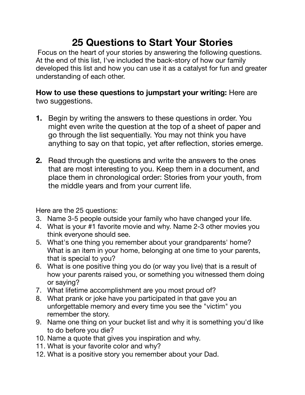## **25 Questions to Start Your Stories**

 Focus on the heart of your stories by answering the following questions. At the end of this list, I've included the back-story of how our family developed this list and how you can use it as a catalyst for fun and greater understanding of each other.

## **How to use these questions to jumpstart your writing:** Here are two suggestions.

- **1.** Begin by writing the answers to these questions in order. You might even write the question at the top of a sheet of paper and go through the list sequentially. You may not think you have anything to say on that topic, yet after reflection, stories emerge.
- **2.** Read through the questions and write the answers to the ones that are most interesting to you. Keep them in a document, and place them in chronological order: Stories from your youth, from the middle years and from your current life.

Here are the 25 questions:

- 3. Name 3-5 people outside your family who have changed your life.
- 4. What is your #1 favorite movie and why. Name 2-3 other movies you think everyone should see.
- 5. What's one thing you remember about your grandparents' home? What is an item in your home, belonging at one time to your parents, that is special to you?
- 6. What is one positive thing you do (or way you live) that is a result of how your parents raised you, or something you witnessed them doing or saying?
- 7. What lifetime accomplishment are you most proud of?
- 8. What prank or joke have you participated in that gave you an unforgettable memory and every time you see the "victim" you remember the story.
- 9. Name one thing on your bucket list and why it is something you'd like to do before you die?
- 10. Name a quote that gives you inspiration and why.
- 11. What is your favorite color and why?
- 12. What is a positive story you remember about your Dad.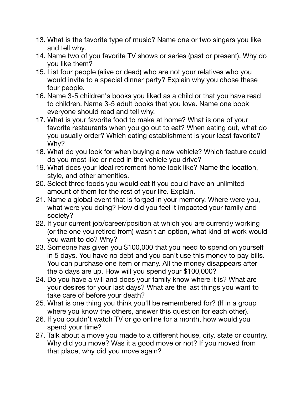- 13. What is the favorite type of music? Name one or two singers you like and tell why.
- 14. Name two of you favorite TV shows or series (past or present). Why do you like them?
- 15. List four people (alive or dead) who are not your relatives who you would invite to a special dinner party? Explain why you chose these four people.
- 16. Name 3-5 children's books you liked as a child or that you have read to children. Name 3-5 adult books that you love. Name one book everyone should read and tell why.
- 17. What is your favorite food to make at home? What is one of your favorite restaurants when you go out to eat? When eating out, what do you usually order? Which eating establishment is your least favorite? Why?
- 18. What do you look for when buying a new vehicle? Which feature could do you most like or need in the vehicle you drive?
- 19. What does your ideal retirement home look like? Name the location, style, and other amenities.
- 20. Select three foods you would eat if you could have an unlimited amount of them for the rest of your life. Explain.
- 21. Name a global event that is forged in your memory. Where were you, what were you doing? How did you feel it impacted your family and society?
- 22. If your current job/career/position at which you are currently working (or the one you retired from) wasn't an option, what kind of work would you want to do? Why?
- 23. Someone has given you \$100,000 that you need to spend on yourself in 5 days. You have no debt and you can't use this money to pay bills. You can purchase one item or many. All the money disappears after the 5 days are up. How will you spend your \$100,000?
- 24. Do you have a will and does your family know where it is? What are your desires for your last days? What are the last things you want to take care of before your death?
- 25. What is one thing you think you'll be remembered for? (If in a group where you know the others, answer this question for each other).
- 26. If you couldn't watch TV or go online for a month, how would you spend your time?
- 27. Talk about a move you made to a different house, city, state or country. Why did you move? Was it a good move or not? If you moved from that place, why did you move again?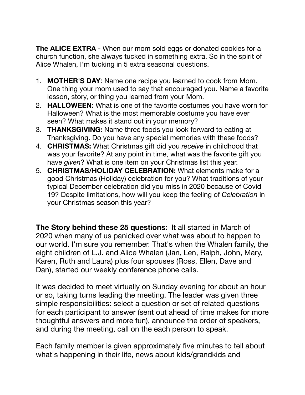**The ALICE EXTRA** - When our mom sold eggs or donated cookies for a church function, she always tucked in something extra. So in the spirit of Alice Whalen, I'm tucking in 5 extra seasonal questions.

- 1. **MOTHER'S DAY**: Name one recipe you learned to cook from Mom. One thing your mom used to say that encouraged you. Name a favorite lesson, story, or thing you learned from your Mom.
- 2. **HALLOWEEN:** What is one of the favorite costumes you have worn for Halloween? What is the most memorable costume you have ever seen? What makes it stand out in your memory?
- 3. **THANKSGIVING:** Name three foods you look forward to eating at Thanksgiving. Do you have any special memories with these foods?
- 4. **CHRISTMAS:** What Christmas gift did you *receive* in childhood that was your favorite? At any point in time, what was the favorite gift you have *given*? What is one item on your Christmas list this year.
- 5. **CHRISTMAS/HOLIDAY CELEBRATION:** What elements make for a good Christmas (Holiday) celebration for you? What traditions of your typical December celebration did you miss in 2020 because of Covid 19? Despite limitations, how will you keep the feeling of *Celebration* in your Christmas season this year?

**The Story behind these 25 questions:** It all started in March of 2020 when many of us panicked over what was about to happen to our world. I'm sure you remember. That's when the Whalen family, the eight children of L.J. and Alice Whalen (Jan, Len, Ralph, John, Mary, Karen, Ruth and Laura) plus four spouses (Ross, Ellen, Dave and Dan), started our weekly conference phone calls.

It was decided to meet virtually on Sunday evening for about an hour or so, taking turns leading the meeting. The leader was given three simple responsibilities: select a question or set of related questions for each participant to answer (sent out ahead of time makes for more thoughtful answers and more fun), announce the order of speakers, and during the meeting, call on the each person to speak.

Each family member is given approximately five minutes to tell about what's happening in their life, news about kids/grandkids and